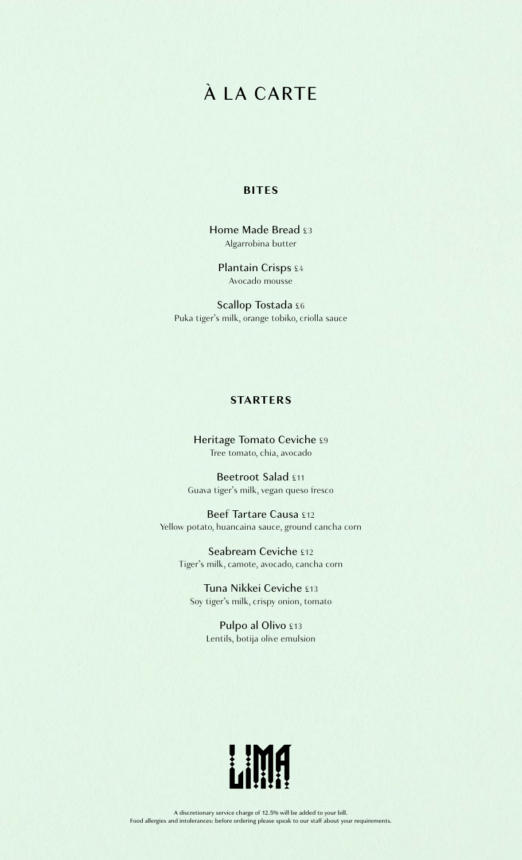# À LA CARTE

#### **BITES**

Home Made Bread £3 Algarrobina butter

Plantain Crisps £4 Avocado mousse

Scallop Tostada £6 Puka tiger's milk, orange tobiko, criolla sauce

# **STARTERS**

Heritage Tomato Ceviche £9 Tree tomato, chia, avocado

Beetroot Salad £11 Guava tiger's milk, vegan queso fresco

Beef Tartare Causa £12 Yellow potato, huancaina sauce, ground cancha corn

Seabream Ceviche £12 Tiger's milk, camote, avocado, cancha corn

Tuna Nikkei Ceviche £13 Soy tiger's milk, crispy onion, tomato

> Pulpo al Olivo £13 Lentils, botija olive emulsion